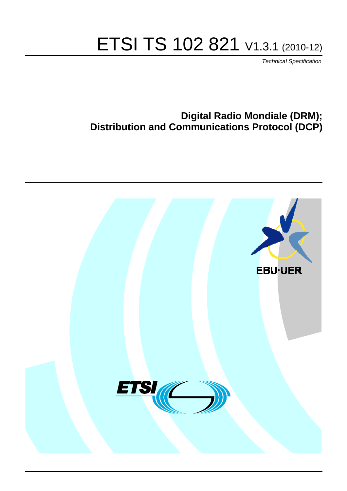# ETSI TS 102 821 V1.3.1 (2010-12)

*Technical Specification*

## **Digital Radio Mondiale (DRM); Distribution and Communications Protocol (DCP)**

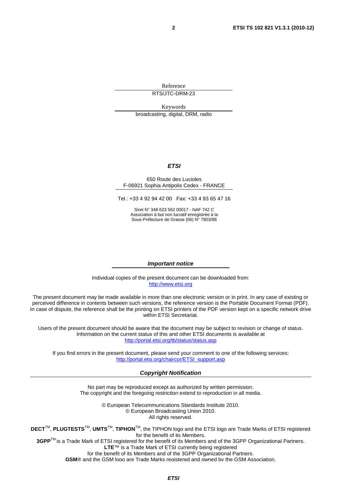Reference RTS/JTC-DRM-23

Keywords broadcasting, digital, DRM, radio

#### *ETSI*

#### 650 Route des Lucioles F-06921 Sophia Antipolis Cedex - FRANCE

Tel.: +33 4 92 94 42 00 Fax: +33 4 93 65 47 16

Siret N° 348 623 562 00017 - NAF 742 C Association à but non lucratif enregistrée à la Sous-Préfecture de Grasse (06) N° 7803/88

#### *Important notice*

Individual copies of the present document can be downloaded from: [http://www.etsi.org](http://www.etsi.org/)

The present document may be made available in more than one electronic version or in print. In any case of existing or perceived difference in contents between such versions, the reference version is the Portable Document Format (PDF). In case of dispute, the reference shall be the printing on ETSI printers of the PDF version kept on a specific network drive within ETSI Secretariat.

Users of the present document should be aware that the document may be subject to revision or change of status. Information on the current status of this and other ETSI documents is available at <http://portal.etsi.org/tb/status/status.asp>

If you find errors in the present document, please send your comment to one of the following services: [http://portal.etsi.org/chaircor/ETSI\\_support.asp](http://portal.etsi.org/chaircor/ETSI_support.asp)

#### *Copyright Notification*

No part may be reproduced except as authorized by written permission. The copyright and the foregoing restriction extend to reproduction in all media.

> © European Telecommunications Standards Institute 2010. © European Broadcasting Union 2010. All rights reserved.

**DECT**TM, **PLUGTESTS**TM, **UMTS**TM, **TIPHON**TM, the TIPHON logo and the ETSI logo are Trade Marks of ETSI registered for the benefit of its Members. **3GPP**TM is a Trade Mark of ETSI registered for the benefit of its Members and of the 3GPP Organizational Partners.

**LTE**™ is a Trade Mark of ETSI currently being registered

for the benefit of its Members and of the 3GPP Organizational Partners.

**GSM**® and the GSM logo are Trade Marks registered and owned by the GSM Association.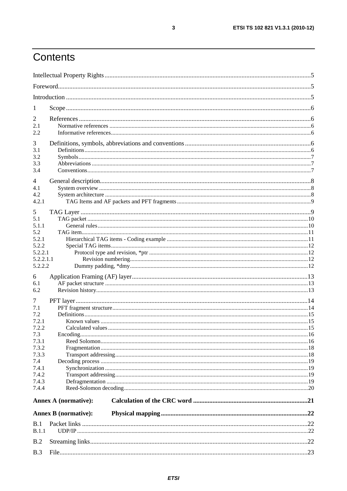# Contents

| 1                |                             |  |
|------------------|-----------------------------|--|
| 2                |                             |  |
| 2.1              |                             |  |
| 2.2              |                             |  |
| 3                |                             |  |
| 3.1              |                             |  |
| 3.2              |                             |  |
| 3.3              |                             |  |
| 3.4              |                             |  |
| 4                |                             |  |
| 4.1              |                             |  |
| 4.2              |                             |  |
| 4.2.1            |                             |  |
| 5                |                             |  |
| 5.1              |                             |  |
| 5.1.1            |                             |  |
| 5.2              |                             |  |
| 5.2.1            |                             |  |
| 5.2.2<br>5.2.2.1 |                             |  |
| 5.2.2.1.1        |                             |  |
| 5.2.2.2          |                             |  |
|                  |                             |  |
| 6<br>6.1         |                             |  |
| 6.2              |                             |  |
|                  |                             |  |
| 7                |                             |  |
| 7.1              |                             |  |
| 7.2              |                             |  |
| 7.2.1<br>7.2.2   |                             |  |
| 7.3              |                             |  |
| 7.3.1            |                             |  |
| 7.3.2            |                             |  |
| 7.3.3            |                             |  |
| 7.4              |                             |  |
| 7.4.1            |                             |  |
| 7.4.2            |                             |  |
| 7.4.3            |                             |  |
| 7.4.4            |                             |  |
|                  | Annex A (normative):        |  |
|                  | <b>Annex B</b> (normative): |  |
|                  |                             |  |
| B.1              |                             |  |
| B.1.1            |                             |  |
| B.2              |                             |  |
| B.3              |                             |  |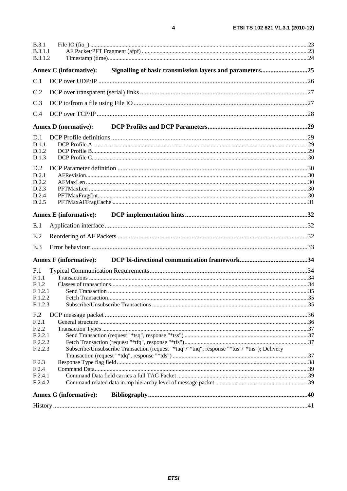| B.3.1<br><b>B.3.1.1</b><br>B.3.1.2 |                               |                                                                                             |  |
|------------------------------------|-------------------------------|---------------------------------------------------------------------------------------------|--|
|                                    | Annex C (informative):        | Signalling of basic transmission layers and parameters25                                    |  |
| C.1                                |                               |                                                                                             |  |
| C.2                                |                               |                                                                                             |  |
| C.3                                |                               |                                                                                             |  |
|                                    |                               |                                                                                             |  |
| C.4                                |                               |                                                                                             |  |
|                                    | <b>Annex D</b> (normative):   |                                                                                             |  |
| D.1                                |                               |                                                                                             |  |
| D.1.1                              |                               |                                                                                             |  |
| D.1.2                              |                               |                                                                                             |  |
| D.1.3                              |                               |                                                                                             |  |
| D.2                                |                               |                                                                                             |  |
| D.2.1                              |                               |                                                                                             |  |
| D.2.2                              |                               |                                                                                             |  |
| D.2.3<br>D.2.4                     |                               |                                                                                             |  |
| D.2.5                              |                               |                                                                                             |  |
|                                    |                               |                                                                                             |  |
|                                    | <b>Annex E</b> (informative): |                                                                                             |  |
| E.1                                |                               |                                                                                             |  |
| E.2                                |                               |                                                                                             |  |
| E.3                                |                               |                                                                                             |  |
|                                    |                               |                                                                                             |  |
|                                    | <b>Annex F</b> (informative): |                                                                                             |  |
| F.1                                |                               |                                                                                             |  |
| F.1.1                              |                               |                                                                                             |  |
| F.1.2                              |                               |                                                                                             |  |
| F.1.2.1                            |                               |                                                                                             |  |
| F.1.2.2<br>F.1.2.3                 |                               |                                                                                             |  |
|                                    |                               |                                                                                             |  |
| F <sub>.2</sub>                    |                               |                                                                                             |  |
| F.2.1                              |                               |                                                                                             |  |
| F.2.2                              |                               |                                                                                             |  |
| F.2.2.1<br>F.2.2.2                 |                               |                                                                                             |  |
| F.2.2.3                            |                               | Subscribe/Unsubscribe Transaction (request "*tuq"/"*tnq", response "*tus"/"*tns"); Delivery |  |
|                                    |                               |                                                                                             |  |
| F.2.3                              |                               |                                                                                             |  |
| F.2.4                              |                               |                                                                                             |  |
| F.2.4.1                            |                               |                                                                                             |  |
| F.2.4.2                            |                               |                                                                                             |  |
|                                    | <b>Annex G (informative):</b> |                                                                                             |  |
|                                    |                               |                                                                                             |  |

 $\overline{\mathbf{4}}$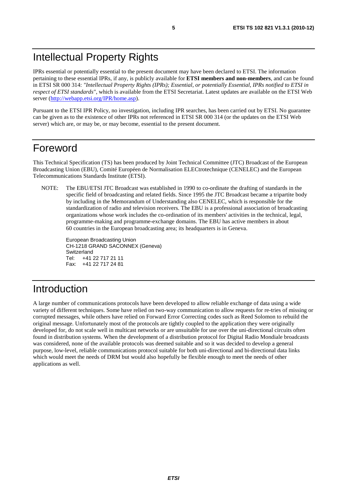## Intellectual Property Rights

IPRs essential or potentially essential to the present document may have been declared to ETSI. The information pertaining to these essential IPRs, if any, is publicly available for **ETSI members and non-members**, and can be found in ETSI SR 000 314: *"Intellectual Property Rights (IPRs); Essential, or potentially Essential, IPRs notified to ETSI in respect of ETSI standards"*, which is available from the ETSI Secretariat. Latest updates are available on the ETSI Web server ([http://webapp.etsi.org/IPR/home.asp\)](http://webapp.etsi.org/IPR/home.asp).

Pursuant to the ETSI IPR Policy, no investigation, including IPR searches, has been carried out by ETSI. No guarantee can be given as to the existence of other IPRs not referenced in ETSI SR 000 314 (or the updates on the ETSI Web server) which are, or may be, or may become, essential to the present document.

## Foreword

This Technical Specification (TS) has been produced by Joint Technical Committee (JTC) Broadcast of the European Broadcasting Union (EBU), Comité Européen de Normalisation ELECtrotechnique (CENELEC) and the European Telecommunications Standards Institute (ETSI).

NOTE: The EBU/ETSI JTC Broadcast was established in 1990 to co-ordinate the drafting of standards in the specific field of broadcasting and related fields. Since 1995 the JTC Broadcast became a tripartite body by including in the Memorandum of Understanding also CENELEC, which is responsible for the standardization of radio and television receivers. The EBU is a professional association of broadcasting organizations whose work includes the co-ordination of its members' activities in the technical, legal, programme-making and programme-exchange domains. The EBU has active members in about 60 countries in the European broadcasting area; its headquarters is in Geneva.

European Broadcasting Union CH-1218 GRAND SACONNEX (Geneva) Switzerland Tel: +41 22 717 21 11 Fax: +41 22 717 24 81

# Introduction

A large number of communications protocols have been developed to allow reliable exchange of data using a wide variety of different techniques. Some have relied on two-way communication to allow requests for re-tries of missing or corrupted messages, while others have relied on Forward Error Correcting codes such as Reed Solomon to rebuild the original message. Unfortunately most of the protocols are tightly coupled to the application they were originally developed for, do not scale well in multicast networks or are unsuitable for use over the uni-directional circuits often found in distribution systems. When the development of a distribution protocol for Digital Radio Mondiale broadcasts was considered, none of the available protocols was deemed suitable and so it was decided to develop a general purpose, low-level, reliable communications protocol suitable for both uni-directional and bi-directional data links which would meet the needs of DRM but would also hopefully be flexible enough to meet the needs of other applications as well.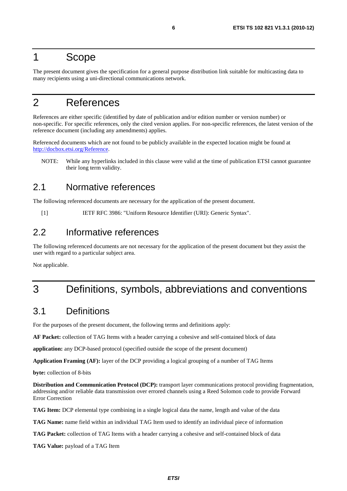## 1 Scope

The present document gives the specification for a general purpose distribution link suitable for multicasting data to many recipients using a uni-directional communications network.

## 2 References

References are either specific (identified by date of publication and/or edition number or version number) or non-specific. For specific references, only the cited version applies. For non-specific references, the latest version of the reference document (including any amendments) applies.

Referenced documents which are not found to be publicly available in the expected location might be found at [http://docbox.etsi.org/Reference.](http://docbox.etsi.org/Reference)

NOTE: While any hyperlinks included in this clause were valid at the time of publication ETSI cannot guarantee their long term validity.

### 2.1 Normative references

The following referenced documents are necessary for the application of the present document.

[1] IETF RFC 3986: "Uniform Resource Identifier (URI): Generic Syntax".

### 2.2 Informative references

The following referenced documents are not necessary for the application of the present document but they assist the user with regard to a particular subject area.

Not applicable.

# 3 Definitions, symbols, abbreviations and conventions

### 3.1 Definitions

For the purposes of the present document, the following terms and definitions apply:

**AF Packet:** collection of TAG Items with a header carrying a cohesive and self-contained block of data

**application:** any DCP-based protocol (specified outside the scope of the present document)

**Application Framing (AF):** layer of the DCP providing a logical grouping of a number of TAG Items

**byte:** collection of 8-bits

**Distribution and Communication Protocol (DCP):** transport layer communications protocol providing fragmentation, addressing and/or reliable data transmission over errored channels using a Reed Solomon code to provide Forward Error Correction

**TAG Item:** DCP elemental type combining in a single logical data the name, length and value of the data

**TAG Name:** name field within an individual TAG Item used to identify an individual piece of information

**TAG Packet:** collection of TAG Items with a header carrying a cohesive and self-contained block of data

**TAG Value:** payload of a TAG Item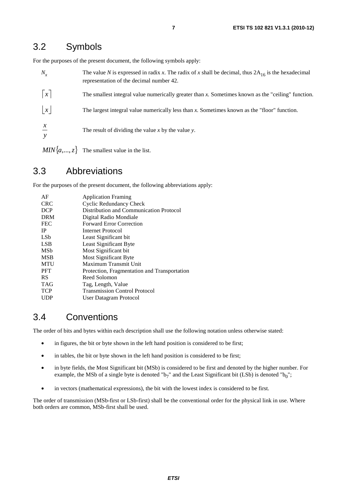### 3.2 Symbols

For the purposes of the present document, the following symbols apply:

| $N_{x}$         | The value N is expressed in radix x. The radix of x shall be decimal, thus $2A_{16}$ is the hexadecimal<br>representation of the decimal number 42. |
|-----------------|-----------------------------------------------------------------------------------------------------------------------------------------------------|
| $\vert x \vert$ | The smallest integral value numerically greater than $x$ . Sometimes known as the "ceiling" function.                                               |
| $\vert x \vert$ | The largest integral value numerically less than x. Sometimes known as the "floor" function.                                                        |
| $\chi$          | The result of dividing the value x by the value y.                                                                                                  |
|                 | $MIN{a, , z}$ The smallest value in the list.                                                                                                       |

3.3 Abbreviations

For the purposes of the present document, the following abbreviations apply:

| <b>Application Framing</b>                   |
|----------------------------------------------|
| Cyclic Redundancy Check                      |
| Distribution and Communication Protocol      |
| Digital Radio Mondiale                       |
| <b>Forward Error Correction</b>              |
| Internet Protocol                            |
| Least Significant bit                        |
| Least Significant Byte                       |
| Most Significant bit                         |
| Most Significant Byte                        |
| Maximum Transmit Unit                        |
| Protection, Fragmentation and Transportation |
| Reed Solomon                                 |
| Tag, Length, Value                           |
| <b>Transmission Control Protocol</b>         |
| User Datagram Protocol                       |
|                                              |

### 3.4 Conventions

The order of bits and bytes within each description shall use the following notation unless otherwise stated:

- in figures, the bit or byte shown in the left hand position is considered to be first;
- in tables, the bit or byte shown in the left hand position is considered to be first;
- in byte fields, the Most Significant bit (MSb) is considered to be first and denoted by the higher number. For example, the MSb of a single byte is denoted "b<sub>7</sub>" and the Least Significant bit (LSb) is denoted "b<sub>0</sub>";
- in vectors (mathematical expressions), the bit with the lowest index is considered to be first.

The order of transmission (MSb-first or LSb-first) shall be the conventional order for the physical link in use. Where both orders are common, MSb-first shall be used.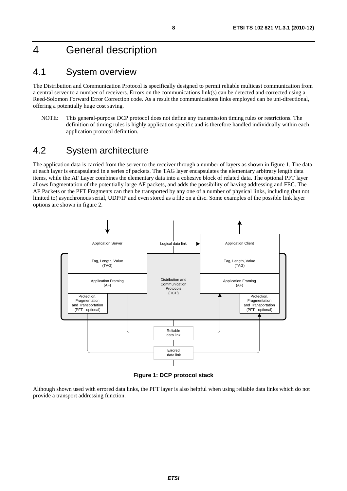# 4 General description

### 4.1 System overview

The Distribution and Communication Protocol is specifically designed to permit reliable multicast communication from a central server to a number of receivers. Errors on the communications link(s) can be detected and corrected using a Reed-Solomon Forward Error Correction code. As a result the communications links employed can be uni-directional, offering a potentially huge cost saving.

NOTE: This general-purpose DCP protocol does not define any transmission timing rules or restrictions. The definition of timing rules is highly application specific and is therefore handled individually within each application protocol definition.

## 4.2 System architecture

The application data is carried from the server to the receiver through a number of layers as shown in figure 1. The data at each layer is encapsulated in a series of packets. The TAG layer encapsulates the elementary arbitrary length data items, while the AF Layer combines the elementary data into a cohesive block of related data. The optional PFT layer allows fragmentation of the potentially large AF packets, and adds the possibility of having addressing and FEC. The AF Packets or the PFT Fragments can then be transported by any one of a number of physical links, including (but not limited to) asynchronous serial, UDP/IP and even stored as a file on a disc. Some examples of the possible link layer options are shown in figure 2.



**Figure 1: DCP protocol stack** 

Although shown used with errored data links, the PFT layer is also helpful when using reliable data links which do not provide a transport addressing function.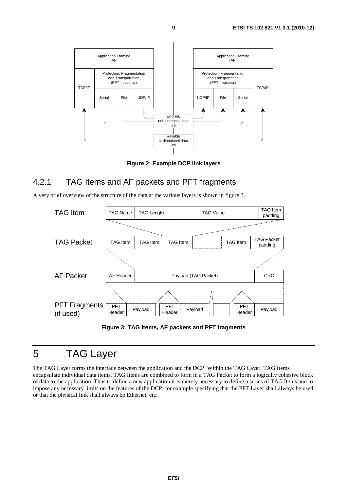

**Figure 2: Example DCP link layers** 

### 4.2.1 TAG Items and AF packets and PFT fragments

A very brief overview of the structure of the data at the various layers is shown in figure 3.



**Figure 3: TAG Items, AF packets and PFT fragments** 

## 5 TAG Layer

The TAG Layer forms the interface between the application and the DCP. Within the TAG Layer, TAG Items encapsulate individual data items. TAG Items are combined to form in a TAG Packet to form a logically cohesive block of data to the application. Thus to define a new application it is merely necessary to define a series of TAG Items and to impose any necessary limits on the features of the DCP, for example specifying that the PFT Layer shall always be used or that the physical link shall always be Ethernet, etc.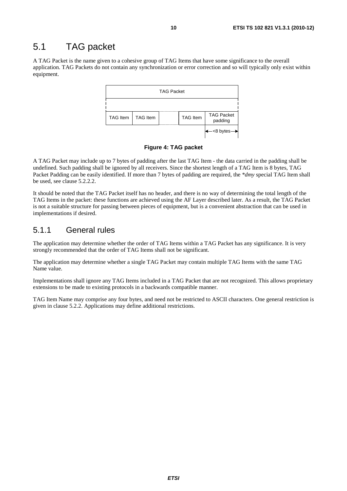## 5.1 TAG packet

A TAG Packet is the name given to a cohesive group of TAG Items that have some significance to the overall application. TAG Packets do not contain any synchronization or error correction and so will typically only exist within equipment.



#### **Figure 4: TAG packet**

A TAG Packet may include up to 7 bytes of padding after the last TAG Item - the data carried in the padding shall be undefined. Such padding shall be ignored by all receivers. Since the shortest length of a TAG Item is 8 bytes, TAG Packet Padding can be easily identified. If more than 7 bytes of padding are required, the *\*dmy* special TAG Item shall be used, see clause 5.2.2.2.

It should be noted that the TAG Packet itself has no header, and there is no way of determining the total length of the TAG Items in the packet: these functions are achieved using the AF Layer described later. As a result, the TAG Packet is not a suitable structure for passing between pieces of equipment, but is a convenient abstraction that can be used in implementations if desired.

### 5.1.1 General rules

The application may determine whether the order of TAG Items within a TAG Packet has any significance. It is very strongly recommended that the order of TAG Items shall not be significant.

The application may determine whether a single TAG Packet may contain multiple TAG Items with the same TAG Name value.

Implementations shall ignore any TAG Items included in a TAG Packet that are not recognized. This allows proprietary extensions to be made to existing protocols in a backwards compatible manner.

TAG Item Name may comprise any four bytes, and need not be restricted to ASCII characters. One general restriction is given in clause 5.2.2. Applications may define additional restrictions.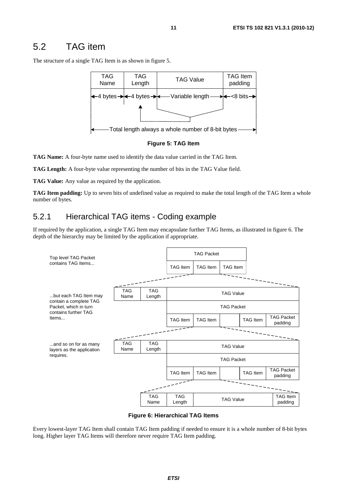## 5.2 TAG item

The structure of a single TAG Item is as shown in figure 5.





**TAG Name:** A four-byte name used to identify the data value carried in the TAG Item.

**TAG Length:** A four-byte value representing the number of bits in the TAG Value field.

**TAG Value:** Any value as required by the application.

**TAG Item padding:** Up to seven bits of undefined value as required to make the total length of the TAG Item a whole number of bytes.

### 5.2.1 Hierarchical TAG items - Coding example

If required by the application, a single TAG Item may encapsulate further TAG Items, as illustrated in figure 6. The depth of the hierarchy may be limited by the application if appropriate.



**Figure 6: Hierarchical TAG Items** 

Every lowest-layer TAG Item shall contain TAG Item padding if needed to ensure it is a whole number of 8-bit bytes long. Higher layer TAG Items will therefore never require TAG Item padding.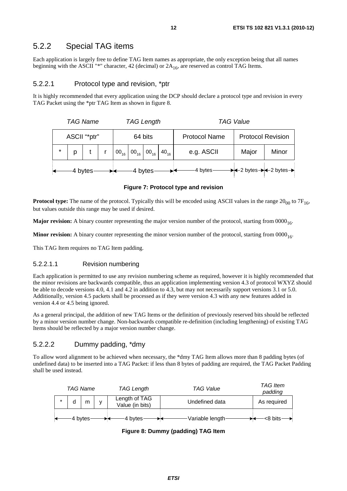#### 5.2.2 Special TAG items

Each application is largely free to define TAG Item names as appropriate, the only exception being that all names beginning with the ASCII "\*" character, 42 (decimal) or  $2A_{16}$ , are reserved as control TAG Items.

#### 5.2.2.1 Protocol type and revision, \*ptr

It is highly recommended that every application using the DCP should declare a protocol type and revision in every TAG Packet using the \*ptr TAG Item as shown in figure 8.

| <b>TAG Name</b><br><b>TAG Length</b> |         |  |  |                                                              | <b>TAG Value</b> |                          |                                                             |       |
|--------------------------------------|---------|--|--|--------------------------------------------------------------|------------------|--------------------------|-------------------------------------------------------------|-------|
| ASCII "*ptr"<br>64 bits              |         |  |  | <b>Protocol Name</b>                                         |                  | <b>Protocol Revision</b> |                                                             |       |
|                                      |         |  |  | $00_{16}$ 00 <sub>16</sub> 00 <sub>16</sub> 40 <sub>16</sub> |                  | e.g. ASCII               | Major                                                       | Minor |
|                                      | 4 bytes |  |  | 4 bytes                                                      |                  | -4 bytes-                | $\rightarrow$ +2 bytes $\rightarrow$ +2 bytes $\rightarrow$ |       |

#### **Figure 7: Protocol type and revision**

**Protocol type:** The name of the protocol. Typically this will be encoded using ASCII values in the range  $20_{00}$  to  $7F_{16}$ , but values outside this range may be used if desired.

**Major revision:** A binary counter representing the major version number of the protocol, starting from 0000<sub>16</sub>.

**Minor revision:** A binary counter representing the minor version number of the protocol, starting from  $0000_{16}$ .

This TAG Item requires no TAG Item padding.

#### 5.2.2.1.1 Revision numbering

Each application is permitted to use any revision numbering scheme as required, however it is highly recommended that the minor revisions are backwards compatible, thus an application implementing version 4.3 of protocol WXYZ should be able to decode versions 4.0, 4.1 and 4.2 in addition to 4.3, but may not necessarily support versions 3.1 or 5.0. Additionally, version 4.5 packets shall be processed as if they were version 4.3 with any new features added in version 4.4 or 4.5 being ignored.

As a general principal, the addition of new TAG Items or the definition of previously reserved bits should be reflected by a minor version number change. Non-backwards compatible re-definition (including lengthening) of existing TAG Items should be reflected by a major version number change.

#### 5.2.2.2 Dummy padding, \*dmy

To allow word alignment to be achieved when necessary, the \*dmy TAG Item allows more than 8 padding bytes (of undefined data) to be inserted into a TAG Packet: if less than 8 bytes of padding are required, the TAG Packet Padding shall be used instead.

| <b>TAG Name</b> |         |              | TAG Length                       | <b>TAG Value</b> | <b>TAG Item</b><br>padding |
|-----------------|---------|--------------|----------------------------------|------------------|----------------------------|
| d               | m       | $\mathbf{v}$ | Length of TAG<br>Value (in bits) | Undefined data   | As required                |
|                 | 4 bytes |              | 4 bytes                          | Variable length  | $<$ 8 bits $-$             |

**Figure 8: Dummy (padding) TAG Item**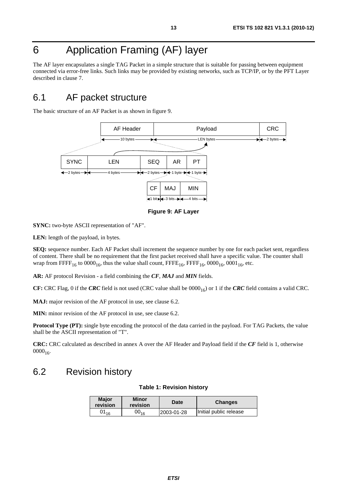# 6 Application Framing (AF) layer

The AF layer encapsulates a single TAG Packet in a simple structure that is suitable for passing between equipment connected via error-free links. Such links may be provided by existing networks, such as TCP/IP, or by the PFT Layer described in clause 7.

### 6.1 AF packet structure

The basic structure of an AF Packet is as shown in figure 9.



**Figure 9: AF Layer** 

**SYNC:** two-byte ASCII representation of "AF".

**LEN:** length of the payload, in bytes.

**SEQ:** sequence number. Each AF Packet shall increment the sequence number by one for each packet sent, regardless of content. There shall be no requirement that the first packet received shall have a specific value. The counter shall wrap from FFFF<sub>16</sub> to  $0000_{16}$ , thus the value shall count, FFFE<sub>16</sub>, FFFF<sub>16</sub>,  $0000_{16}$ ,  $0001_{16}$ , etc.

**AR:** AF protocol Revision - a field combining the *CF*, *MAJ* and *MIN* fields.

**CF:** CRC Flag, 0 if the *CRC* field is not used (CRC value shall be  $0000_{16}$ ) or 1 if the *CRC* field contains a valid CRC.

**MAJ:** major revision of the AF protocol in use, see clause 6.2.

**MIN:** minor revision of the AF protocol in use, see clause 6.2.

**Protocol Type (PT):** single byte encoding the protocol of the data carried in the payload. For TAG Packets, the value shall be the ASCII representation of "T".

**CRC:** CRC calculated as described in annex A over the AF Header and Payload field if the *CF* field is 1, otherwise  $0000_{16}$ .

### 6.2 Revision history

#### **Table 1: Revision history**

| <b>Maior</b><br><b>revision</b> | Minor<br>revision | Date       | <b>Changes</b>         |
|---------------------------------|-------------------|------------|------------------------|
| $01_{16}$                       | $00_{16}$         | 2003-01-28 | Initial public release |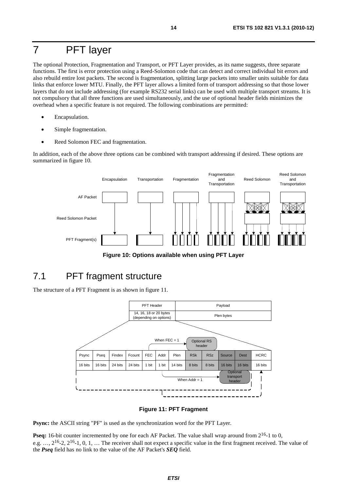# 7 PFT layer

The optional Protection, Fragmentation and Transport, or PFT Layer provides, as its name suggests, three separate functions. The first is error protection using a Reed-Solomon code that can detect and correct individual bit errors and also rebuild entire lost packets. The second is fragmentation, splitting large packets into smaller units suitable for data links that enforce lower MTU. Finally, the PFT layer allows a limited form of transport addressing so that those lower layers that do not include addressing (for example RS232 serial links) can be used with multiple transport streams. It is not compulsory that all three functions are used simultaneously, and the use of optional header fields minimizes the overhead when a specific feature is not required. The following combinations are permitted:

- Encapsulation.
- Simple fragmentation.
- Reed Solomon FEC and fragmentation.

In addition, each of the above three options can be combined with transport addressing if desired. These options are summarized in figure 10.



**Figure 10: Options available when using PFT Layer** 

## 7.1 PFT fragment structure

The structure of a PFT Fragment is as shown in figure 11.



#### **Figure 11: PFT Fragment**

**Psync:** the ASCII string "PF" is used as the synchronization word for the PFT Layer.

**Pseq:** 16-bit counter incremented by one for each AF Packet. The value shall wrap around from  $2^{16}$ -1 to 0, e.g.  $..., 2^{16}$ -2,  $2^{16}$ -1, 0, 1,  $...$  The receiver shall not expect a specific value in the first fragment received. The value of the *Pseq* field has no link to the value of the AF Packet's *SEQ* field.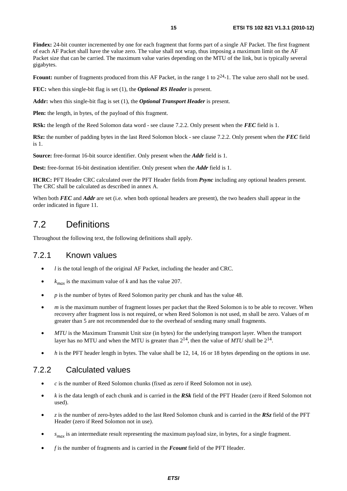**Findex:** 24-bit counter incremented by one for each fragment that forms part of a single AF Packet. The first fragment of each AF Packet shall have the value zero. The value shall not wrap, thus imposing a maximum limit on the AF Packet size that can be carried. The maximum value varies depending on the MTU of the link, but is typically several gigabytes.

Fcount: number of fragments produced from this AF Packet, in the range 1 to  $2^{24}$ -1. The value zero shall not be used.

**FEC:** when this single-bit flag is set (1), the *Optional RS Header* is present.

**Addr:** when this single-bit flag is set (1), the *Optional Transport Header* is present.

**Plen:** the length, in bytes, of the payload of this fragment.

**RSk:** the length of the Reed Solomon data word - see clause 7.2.2. Only present when the *FEC* field is 1.

**RSz:** the number of padding bytes in the last Reed Solomon block - see clause 7.2.2. Only present when the *FEC* field is 1.

**Source:** free-format 16-bit source identifier. Only present when the *Addr* field is 1.

**Dest:** free-format 16-bit destination identifier. Only present when the *Addr* field is 1.

**HCRC:** PFT Header CRC calculated over the PFT Header fields from *Psync* including any optional headers present. The CRC shall be calculated as described in annex A.

When both *FEC* and *Addr* are set (i.e. when both optional headers are present), the two headers shall appear in the order indicated in figure 11.

### 7.2 Definitions

Throughout the following text, the following definitions shall apply.

#### 7.2.1 Known values

- *l* is the total length of the original AF Packet, including the header and CRC.
- $k_{max}$  is the maximum value of *k* and has the value 207.
- *p* is the number of bytes of Reed Solomon parity per chunk and has the value 48.
- *m* is the maximum number of fragment losses per packet that the Reed Solomon is to be able to recover. When recovery after fragment loss is not required, or when Reed Solomon is not used, m shall be zero. Values of *m* greater than 5 are not recommended due to the overhead of sending many small fragments.
- *MTU* is the Maximum Transmit Unit size (in bytes) for the underlying transport layer. When the transport layer has no MTU and when the MTU is greater than  $2^{14}$ , then the value of *MTU* shall be  $2^{14}$ .
- *h* is the PFT header length in bytes. The value shall be 12, 14, 16 or 18 bytes depending on the options in use.

#### 7.2.2 Calculated values

- *c* is the number of Reed Solomon chunks (fixed as zero if Reed Solomon not in use).
- *k* is the data length of each chunk and is carried in the *RSk* field of the PFT Header (zero if Reed Solomon not used).
- *z* is the number of zero-bytes added to the last Reed Solomon chunk and is carried in the *RSz* field of the PFT Header (zero if Reed Solomon not in use).
- $s_{max}$  is an intermediate result representing the maximum payload size, in bytes, for a single fragment.
- *f* is the number of fragments and is carried in the *Fcount* field of the PFT Header.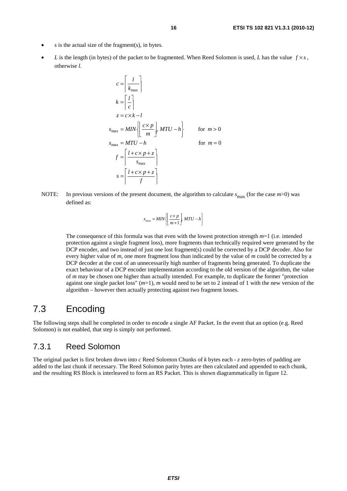- $s$  is the actual size of the fragment(s), in bytes.
- *L* is the length (in bytes) of the packet to be fragmented. When Reed Solomon is used, *L* has the value  $f \times s$ , otherwise *l*.

$$
c = \left| \frac{l}{k_{\text{max}}} \right|
$$
  
\n
$$
k = \left| \frac{l}{c} \right|
$$
  
\n
$$
z = c \times k - l
$$
  
\n
$$
s_{\text{max}} = MIN \left\{ \left| \frac{c \times p}{m} \right|, MTU - h \right\}
$$
 for  $m > 0$   
\n
$$
s_{\text{max}} = MTU - h
$$
 for  $m = 0$   
\n
$$
f = \left[ \frac{l + c \times p + z}{s_{\text{max}}} \right]
$$
  
\n
$$
s = \left[ \frac{l + c \times p + z}{f} \right]
$$

NOTE: In previous versions of the present document, the algorithm to calculate  $s_{\text{max}}$  (for the case  $m>0$ ) was defined as:

⎥

۱.

$$
S_{\max} = MIN \left\{ \left[ \frac{c \times p}{m+1} \right], MTU - h \right\}
$$

 The consequence of this formula was that even with the lowest protection strength *m*=1 (i.e. intended protection against a single fragment loss), more fragments than technically required were generated by the DCP encoder, and two instead of just one lost fragment(s) could be corrected by a DCP decoder. Also for every higher value of *m*, one more fragment loss than indicated by the value of *m* could be corrected by a DCP decoder at the cost of an unnecessarily high number of fragments being generated. To duplicate the exact behaviour of a DCP encoder implementation according to the old version of the algorithm, the value of *m* may be chosen one higher than actually intended. For example, to duplicate the former "protection against one single packet loss" (*m*=1), *m* would need to be set to 2 instead of 1 with the new version of the algorithm – however then actually protecting against two fragment losses.

### 7.3 Encoding

The following steps shall be completed in order to encode a single AF Packet. In the event that an option (e.g. Reed Solomon) is not enabled, that step is simply not performed.

#### 7.3.1 Reed Solomon

The original packet is first broken down into *c* Reed Solomon Chunks of *k* bytes each - *z* zero-bytes of padding are added to the last chunk if necessary. The Reed Solomon parity bytes are then calculated and appended to each chunk, and the resulting RS Block is interleaved to form an RS Packet. This is shown diagrammatically in figure 12.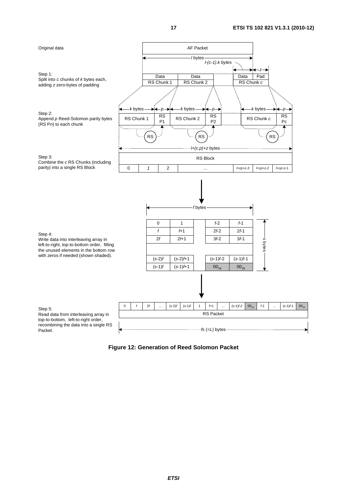

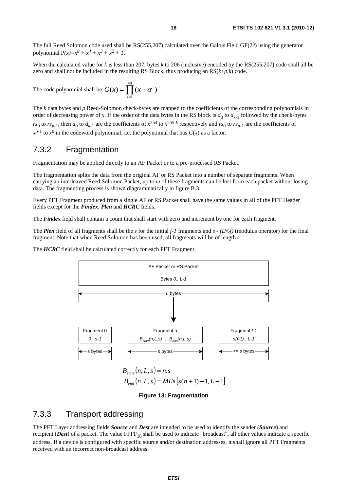The full Reed Solomon code used shall be RS(255,207) calculated over the Galois Field GF(28) using the generator polynomial  $P(x)=x^8 + x^4 + x^3 + x^2 + 1$ .

When the calculated value for *k* is less than 207, bytes *k* to 206 (inclusive) encoded by the RS(255,207) code shall all be zero and shall not be included in the resulting RS Block, thus producing an RS(*k*+*p*,*k*) code.

The code polynomial shall be  $G(x) = \prod_{i=1} (x -$ 48 1  $(x) = \prod_{i=1}^{n} (x - \alpha^{i})$ *i*  $G(x) = \prod (x - \alpha^i)$ .

The *k* data bytes and *p* Reed-Solomon check-bytes are mapped to the coefficients of the corresponding polynomials in order of decreasing power of x. If the order of the data bytes in the RS block is  $d_0$  to  $d_{k-1}$  followed by the check-bytes *rs*<sub>0</sub> to *rs*<sub>*n*-1</sub>, then *d*<sub>0</sub> to *d*<sub>*k*-1</sub> are the coefficients of  $x^{254}$  to  $x^{255-k}$  respectively and *rs*<sub>0</sub> to *rs*<sub>*n*-1</sub> are the coefficients of  $x^{p-1}$  to  $x^0$  in the codeword polynomial, i.e. the polynomial that has *G*(*x*) as a factor.

#### 7.3.2 Fragmentation

Fragmentation may be applied directly to an AF Packet or to a pre-processed RS Packet.

The fragmentation splits the data from the original AF or RS Packet into a number of separate fragments. When carrying an interleaved Reed Solomon Packet, up to *m* of these fragments can be lost from each packet without losing data. The fragmenting process is shown diagrammatically in figure B.3.

Every PFT Fragment produced from a single AF or RS Packet shall have the same values in all of the PFT Header fields except for the *Findex, Plen* and *HCRC* fields.

The *Findex* field shall contain a count that shall start with zero and increment by one for each fragment.

The *Plen* field of all fragments shall be the *s* for the initial *f-1* fragments and *s - (L%f)* (modulus operator) for the final fragment. Note that when Reed Solomon has been used, all fragments will be of length *s*.

The *HCRC* field shall be calculated correctly for each PFT Fragment.



**Figure 13: Fragmentation** 

#### 7.3.3 Transport addressing

The PFT Layer addressing fields *Source* and *Dest* are intended to be used to identify the sender (*Source*) and recipient (*Dest*) of a packet. The value  $\text{FFF}_{16}$  shall be used to indicate "broadcast", all other values indicate a specific address. If a device is configured with specific source and/or destination addresses, it shall ignore all PFT Fragments received with an incorrect non-broadcast address.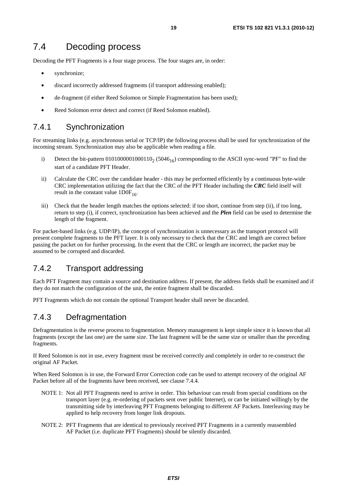### 7.4 Decoding process

Decoding the PFT Fragments is a four stage process. The four stages are, in order:

- synchronize;
- discard incorrectly addressed fragments (if transport addressing enabled);
- de-fragment (if either Reed Solomon or Simple Fragmentation has been used);
- Reed Solomon error detect and correct (if Reed Solomon enabled).

#### 7.4.1 Synchronization

For streaming links (e.g. asynchronous serial or TCP/IP) the following process shall be used for synchronization of the incoming stream. Synchronization may also be applicable when reading a file.

- i) Detect the bit-pattern  $0101000001000110_2$  (5046<sub>16</sub>) corresponding to the ASCII sync-word "PF" to find the start of a candidate PFT Header.
- ii) Calculate the CRC over the candidate header this may be performed efficiently by a continuous byte-wide CRC implementation utilizing the fact that the CRC of the PFT Header including the *CRC* field itself will result in the constant value  $1DOF<sub>16</sub>$ .
- iii) Check that the header length matches the options selected: if too short, continue from step (ii), if too long, return to step (i), if correct, synchronization has been achieved and the *Plen* field can be used to determine the length of the fragment.

For packet-based links (e.g. UDP/IP), the concept of synchronization is unnecessary as the transport protocol will present complete fragments to the PFT layer. It is only necessary to check that the CRC and length are correct before passing the packet on for further processing. In the event that the CRC or length are incorrect, the packet may be assumed to be corrupted and discarded.

### 7.4.2 Transport addressing

Each PFT Fragment may contain a source and destination address. If present, the address fields shall be examined and if they do not match the configuration of the unit, the entire fragment shall be discarded.

PFT Fragments which do not contain the optional Transport header shall never be discarded.

#### 7.4.3 Defragmentation

Defragmentation is the reverse process to fragmentation. Memory management is kept simple since it is known that all fragments (except the last one) are the same size. The last fragment will be the same size or smaller than the preceding fragments.

If Reed Solomon is not in use, every fragment must be received correctly and completely in order to re-construct the original AF Packet.

When Reed Solomon is in use, the Forward Error Correction code can be used to attempt recovery of the original AF Packet before all of the fragments have been received, see clause 7.4.4.

- NOTE 1: Not all PFT Fragments need to arrive in order. This behaviour can result from special conditions on the transport layer (e.g. re-ordering of packets sent over public Internet), or can be initiated willingly by the transmitting side by interleaving PFT Fragments belonging to different AF Packets. Interleaving may be applied to help recovery from longer link dropouts.
- NOTE 2: PFT Fragments that are identical to previously received PFT Fragments in a currently reassembled AF Packet (i.e. duplicate PFT Fragments) should be silently discarded.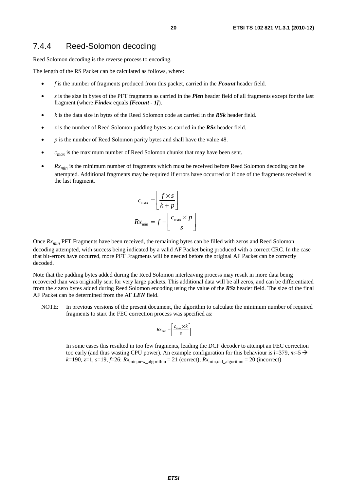#### 7.4.4 Reed-Solomon decoding

Reed Solomon decoding is the reverse process to encoding.

The length of the RS Packet can be calculated as follows, where:

- *f* is the number of fragments produced from this packet, carried in the *Fcount* header field.
- *s* is the size in bytes of the PFT fragments as carried in the *Plen* header field of all fragments except for the last fragment (where *Findex* equals *[Fcount - 1]*).
- *k* is the data size in bytes of the Reed Solomon code as carried in the *RSk* header field.
- *z* is the number of Reed Solomon padding bytes as carried in the *RSz* header field.
- *p* is the number of Reed Solomon parity bytes and shall have the value 48.
- $c_{max}$  is the maximum number of Reed Solomon chunks that may have been sent.
- $Rx_{min}$  is the minimum number of fragments which must be received before Reed Solomon decoding can be attempted. Additional fragments may be required if errors have occurred or if one of the fragments received is the last fragment.

$$
c_{\max} = \left[ \frac{f \times s}{k + p} \right]
$$

$$
Rx_{\min} = f - \left[ \frac{c_{\max} \times p}{s} \right]
$$

Once  $Rx_{min}$  PFT Fragments have been received, the remaining bytes can be filled with zeros and Reed Solomon decoding attempted, with success being indicated by a valid AF Packet being produced with a correct CRC. In the case that bit-errors have occurred, more PFT Fragments will be needed before the original AF Packet can be correctly decoded.

Note that the padding bytes added during the Reed Solomon interleaving process may result in more data being recovered than was originally sent for very large packets. This additional data will be all zeros, and can be differentiated from the *z* zero bytes added during Reed Solomon encoding using the value of the *RSz* header field. The size of the final AF Packet can be determined from the AF *LEN* field.

NOTE: In previous versions of the present document, the algorithm to calculate the minimum number of required fragments to start the FEC correction process was specified as:

$$
Rx_{\min} = \left\lceil \frac{c_{\max} \times k}{s} \right\rceil
$$

 In some cases this resulted in too few fragments, leading the DCP decoder to attempt an FEC correction too early (and thus wasting CPU power). An example configuration for this behaviour is  $l=379$ ,  $m=5 \rightarrow$  $k=190$ ,  $z=1$ ,  $s=19$ ,  $f=26$ :  $Rx_{\text{min,new algorithm}} = 21$  (correct);  $Rx_{\text{min,old algorithm}} = 20$  (incorrect)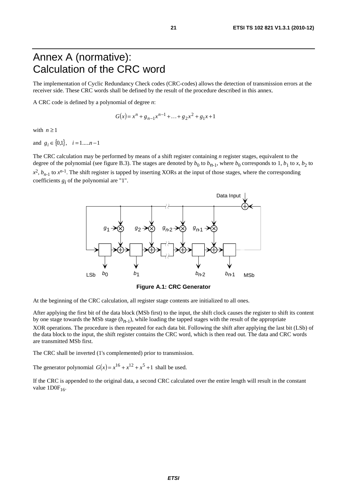## Annex A (normative): Calculation of the CRC word

The implementation of Cyclic Redundancy Check codes (CRC-codes) allows the detection of transmission errors at the receiver side. These CRC words shall be defined by the result of the procedure described in this annex.

A CRC code is defined by a polynomial of degree *n*:

$$
G(x) = xn + gn-1xn-1 + ... + g2x2 + g1x + 1
$$

with  $n \geq 1$ 

and  $g_i \in \{0,1\}$ ,  $i = 1,...,n-1$ 

The CRC calculation may be performed by means of a shift register containing *n* register stages, equivalent to the degree of the polynomial (see figure B.3). The stages are denoted by  $b_0$  to  $b_{n-1}$ , where  $b_0$  corresponds to 1,  $b_1$  to *x*,  $b_2$  to  $x^2$ ,  $b_{n-1}$  to  $x^{n-1}$ . The shift register is tapped by inserting XORs at the input of those stages, where the corresponding coefficients  $g_i$  of the polynomial are "1".



**Figure A.1: CRC Generator** 

At the beginning of the CRC calculation, all register stage contents are initialized to all ones.

After applying the first bit of the data block (MSb first) to the input, the shift clock causes the register to shift its content by one stage towards the MSb stage  $(b_{n-1})$ , while loading the tapped stages with the result of the appropriate XOR operations. The procedure is then repeated for each data bit. Following the shift after applying the last bit (LSb) of the data block to the input, the shift register contains the CRC word, which is then read out. The data and CRC words are transmitted MSb first.

The CRC shall be inverted (1's complemented) prior to transmission.

The generator polynomial  $G(x) = x^{16} + x^{12} + x^5 + 1$  shall be used.

If the CRC is appended to the original data, a second CRC calculated over the entire length will result in the constant value  $1DOF<sub>16</sub>$ .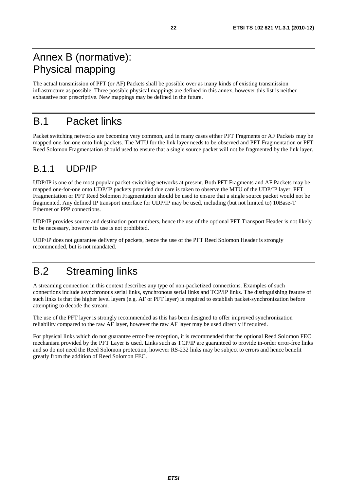## Annex B (normative): Physical mapping

The actual transmission of PFT (or AF) Packets shall be possible over as many kinds of existing transmission infrastructure as possible. Three possible physical mappings are defined in this annex, however this list is neither exhaustive nor prescriptive. New mappings may be defined in the future.

## B.1 Packet links

Packet switching networks are becoming very common, and in many cases either PFT Fragments or AF Packets may be mapped one-for-one onto link packets. The MTU for the link layer needs to be observed and PFT Fragmentation or PFT Reed Solomon Fragmentation should used to ensure that a single source packet will not be fragmented by the link layer.

## B.1.1 UDP/IP

UDP/IP is one of the most popular packet-switching networks at present. Both PFT Fragments and AF Packets may be mapped one-for-one onto UDP/IP packets provided due care is taken to observe the MTU of the UDP/IP layer. PFT Fragmentation or PFT Reed Solomon Fragmentation should be used to ensure that a single source packet would not be fragmented. Any defined IP transport interface for UDP/IP may be used, including (but not limited to) 10Base-T Ethernet or PPP connections.

UDP/IP provides source and destination port numbers, hence the use of the optional PFT Transport Header is not likely to be necessary, however its use is not prohibited.

UDP/IP does not guarantee delivery of packets, hence the use of the PFT Reed Solomon Header is strongly recommended, but is not mandated.

# B.2 Streaming links

A streaming connection in this context describes any type of non-packetized connections. Examples of such connections include asynchronous serial links, synchronous serial links and TCP/IP links. The distinguishing feature of such links is that the higher level layers (e.g. AF or PFT layer) is required to establish packet-synchronization before attempting to decode the stream.

The use of the PFT layer is strongly recommended as this has been designed to offer improved synchronization reliability compared to the raw AF layer, however the raw AF layer may be used directly if required.

For physical links which do not guarantee error-free reception, it is recommended that the optional Reed Solomon FEC mechanism provided by the PFT Layer is used. Links such as TCP/IP are guaranteed to provide in-order error-free links and so do not need the Reed Solomon protection, however RS-232 links may be subject to errors and hence benefit greatly from the addition of Reed Solomon FEC.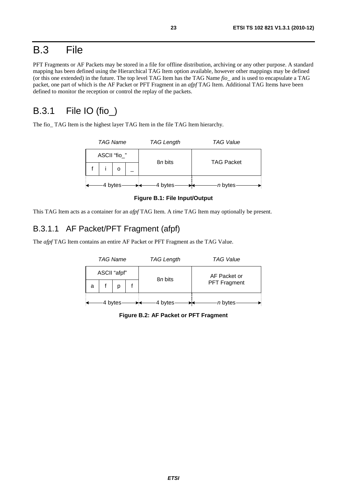## B.3 File

PFT Fragments or AF Packets may be stored in a file for offline distribution, archiving or any other purpose. A standard mapping has been defined using the Hierarchical TAG Item option available, however other mappings may be defined (or this one extended) in the future. The top level TAG Item has the TAG Name *fio\_* and is used to encapsulate a TAG packet, one part of which is the AF Packet or PFT Fragment in an *afpf* TAG Item. Additional TAG Items have been defined to monitor the reception or control the replay of the packets.

## B.3.1 File IO (fio\_)

The fio TAG Item is the highest layer TAG Item in the file TAG Item hierarchy.

| <b>TAG Name</b> |         | <b>TAG Length</b> | <b>TAG Value</b>  |  |  |
|-----------------|---------|-------------------|-------------------|--|--|
| ASCII "fio_"    |         | 8 <i>n</i> bits   | <b>TAG Packet</b> |  |  |
|                 |         |                   |                   |  |  |
|                 | 4 bytes | 4 bytes           | n bytes           |  |  |

**Figure B.1: File Input/Output** 

This TAG Item acts as a container for an *afpf* TAG Item. A *time* TAG Item may optionally be present.

### B.3.1.1 AF Packet/PFT Fragment (afpf)

The *afpf* TAG Item contains an entire AF Packet or PFT Fragment as the TAG Value.



**Figure B.2: AF Packet or PFT Fragment**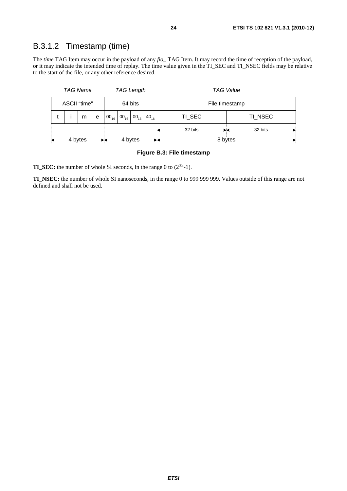### B.3.1.2 Timestamp (time)

The *time* TAG Item may occur in the payload of any *fio\_* TAG Item. It may record the time of reception of the payload, or it may indicate the intended time of replay. The time value given in the TI\_SEC and TI\_NSEC fields may be relative to the start of the file, or any other reference desired.

|                    | <b>TAG Name</b>         |   |   | <b>TAG Length</b> |                            |           | <b>TAG Value</b> |          |         |  |
|--------------------|-------------------------|---|---|-------------------|----------------------------|-----------|------------------|----------|---------|--|
|                    | ASCII "time"<br>64 bits |   |   | File timestamp    |                            |           |                  |          |         |  |
|                    |                         | m | e |                   | $00_{16}$ 00 <sub>16</sub> | $00_{16}$ | $40_{16}$        | TI_SEC   | TI NSEC |  |
|                    |                         |   |   |                   |                            |           |                  | -32 bits | 32 bits |  |
| 4 bytes<br>4 bytes |                         |   |   |                   | 8 bytes                    |           |                  |          |         |  |

#### **Figure B.3: File timestamp**

**TI\_SEC:** the number of whole SI seconds, in the range 0 to (2<sup>32</sup>-1).

**TI\_NSEC:** the number of whole SI nanoseconds, in the range 0 to 999 999 999. Values outside of this range are not defined and shall not be used.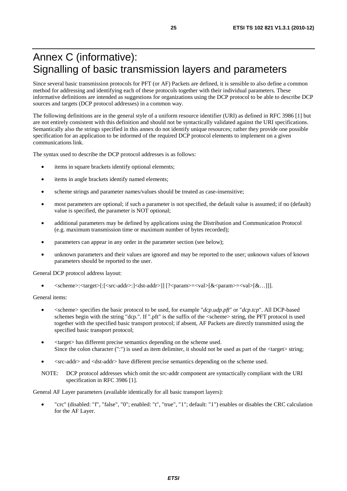## Annex C (informative): Signalling of basic transmission layers and parameters

Since several basic transmission protocols for PFT (or AF) Packets are defined, it is sensible to also define a common method for addressing and identifying each of these protocols together with their individual parameters. These informative definitions are intended as suggestions for organizations using the DCP protocol to be able to describe DCP sources and targets (DCP protocol addresses) in a common way.

The following definitions are in the general style of a uniform resource identifier (URI) as defined in RFC 3986 [1] but are not entirely consistent with this definition and should not be syntactically validated against the URI specifications. Semantically also the strings specified in this annex do not identify unique resources; rather they provide one possible specification for an application to be informed of the required DCP protocol elements to implement on a given communications link.

The syntax used to describe the DCP protocol addresses is as follows:

- items in square brackets identify optional elements;
- items in angle brackets identify named elements;
- scheme strings and parameter names/values should be treated as case-insensitive;
- most parameters are optional; if such a parameter is not specified, the default value is assumed; if no (default) value is specified, the parameter is NOT optional;
- additional parameters may be defined by applications using the Distribution and Communication Protocol (e.g. maximum transmission time or maximum number of bytes recorded);
- parameters can appear in any order in the parameter section (see below);
- unknown parameters and their values are ignored and may be reported to the user; unknown values of known parameters should be reported to the user.

General DCP protocol address layout:

• <scheme>:<target>[:[<src-addr>:]<dst-addr>]] [?<param>=<val>[&<param>=<val>[&…]]].

General items:

- <scheme> specifies the basic protocol to be used, for example "*dcp.udp.pft*" or "*dcp.tcp*". All DCP-based schemes begin with the string "dcp.". If ".pft" is the suffix of the <scheme> string, the PFT protocol is used together with the specified basic transport protocol; if absent, AF Packets are directly transmitted using the specified basic transport protocol;
- <target> has different precise semantics depending on the scheme used. Since the colon character (":") is used as item delimiter, it should not be used as part of the  $\langle \text{target}\rangle$  string;
- <src-addr> and <dst-addr> have different precise semantics depending on the scheme used.
- NOTE: DCP protocol addresses which omit the src-addr component are syntactically compliant with the URI specification in RFC 3986 [1].

General AF Layer parameters (available identically for all basic transport layers):

• "crc" (disabled: "f", "false", "0"; enabled: "t", "true", "1"; default: "1") enables or disables the CRC calculation for the AF Layer.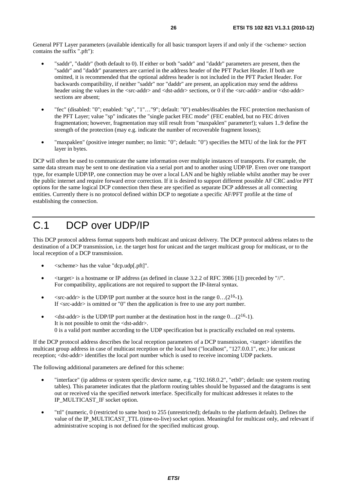General PFT Layer parameters (available identically for all basic transport layers if and only if the <scheme> section contains the suffix ".pft"):

- "saddr", "daddr" (both default to 0). If either or both "saddr" and "daddr" parameters are present, then the "saddr" and "daddr" parameters are carried in the address header of the PFT Packet Header. If both are omitted, it is recommended that the optional address header is not included in the PFT Packet Header. For backwards compatibility, if neither "saddr" nor "daddr" are present, an application may send the address header using the values in the <src-addr> and <dst-addr> sections, or 0 if the <src-addr> and/or <dst-addr> sections are absent;
- "fec" (disabled: "0"; enabled: "sp", "1"…"9"; default: "0") enables/disables the FEC protection mechanism of the PFT Layer; value "sp" indicates the "single packet FEC mode" (FEC enabled, but no FEC driven fragmentation; however, fragmentation may still result from "maxpaklen" parameter!); values 1..9 define the strength of the protection (may e.g. indicate the number of recoverable fragment losses);
- "maxpaklen" (positive integer number; no limit: "0"; default: "0") specifies the MTU of the link for the PFT layer in bytes.

DCP will often be used to communicate the same information over multiple instances of transports. For example, the same data stream may be sent to one destination via a serial port and to another using UDP/IP. Even over one transport type, for example UDP/IP, one connection may be over a local LAN and be highly reliable whilst another may be over the public internet and require forward error correction. If it is desired to support different possible AF CRC and/or PFT options for the same logical DCP connection then these are specified as separate DCP addresses at all connecting entities. Currently there is no protocol defined within DCP to negotiate a specific AF/PFT profile at the time of establishing the connection.

## C.1 DCP over UDP/IP

This DCP protocol address format supports both multicast and unicast delivery. The DCP protocol address relates to the destination of a DCP transmission, i.e. the target host for unicast and the target multicast group for multicast, or to the local reception of a DCP transmission.

- <scheme> has the value "dcp.udp[.pft]".
- $\langle$  <target> is a hostname or IP address (as defined in clause 3.2.2 of RFC 3986 [1]) preceded by "/". For compatibility, applications are not required to support the IP-literal syntax.
- $\langle$ src-addr> is the UDP/IP port number at the source host in the range 0...(2<sup>16</sup>-1). If  $\langle$ src-addr $\rangle$  is omitted or "0" then the application is free to use any port number.
- $\leq$ dst-addr> is the UDP/IP port number at the destination host in the range 0...(2<sup>16</sup>-1). It is not possible to omit the <dst-addr>. 0 is a valid port number according to the UDP specification but is practically excluded on real systems.

If the DCP protocol address describes the local reception parameters of a DCP transmission, <target> identifies the multicast group address in case of multicast reception or the local host ("localhost", "127.0.0.1", etc.) for unicast reception; <dst-addr> identifies the local port number which is used to receive incoming UDP packets.

The following additional parameters are defined for this scheme:

- "interface" (ip address or system specific device name, e.g. "192.168.0.2", "eth0"; default: use system routing tables). This parameter indicates that the platform routing tables should be bypassed and the datagrams is sent out or received via the specified network interface. Specifically for multicast addresses it relates to the IP\_MULTICAST\_IF socket option.
- "ttl" (numeric, 0 (restricted to same host) to 255 (unrestricted); defaults to the platform default). Defines the value of the IP\_MULTICAST\_TTL (time-to-live) socket option. Meaningful for multicast only, and relevant if administrative scoping is not defined for the specified multicast group.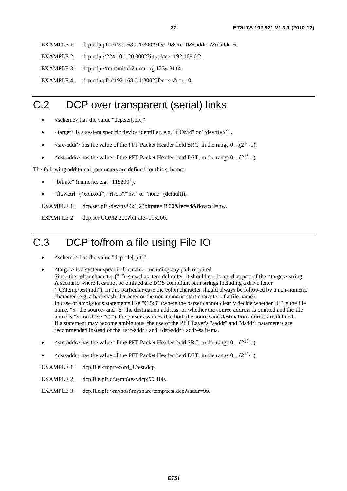EXAMPLE 1: dcp.udp.pft://192.168.0.1:3002?fec=9&crc=0&saddr=7&daddr=6.

EXAMPLE 2: dcp.udp://224.10.1.20:3002?interface=192.168.0.2.

EXAMPLE 3: dcp.udp://transmitter2.drm.org:1234:3114.

EXAMPLE 4: dcp.udp.pft://192.168.0.1:3002?fec=sp&crc=0.

## C.2 DCP over transparent (serial) links

- <scheme> has the value "dcp.ser[.pft]".
- <target> is a system specific device identifier, e.g. "COM4" or "/dev/ttyS1".
- $\leq$  < src-addr> has the value of the PFT Packet Header field SRC, in the range 0...(2<sup>16</sup>-1).
- $\lt$  dst-addr> has the value of the PFT Packet Header field DST, in the range  $0 \dots (2^{16}-1)$ .

The following additional parameters are defined for this scheme:

- "bitrate" (numeric, e.g. "115200").
- "flowctrl" ("xonxoff", "rtscts"/"hw" or "none" (default)).

EXAMPLE 1: dcp.ser.pft:/dev/ttyS3:1:2?bitrate=4800&fec=4&flowctrl=hw.

EXAMPLE 2: dcp.ser:COM2:200?bitrate=115200.

# C.3 DCP to/from a file using File IO

- <scheme> has the value "dcp.file[.pft]".
- <target> is a system specific file name, including any path required. Since the colon character (":") is used as item delimiter, it should not be used as part of the <target> string. A scenario where it cannot be omitted are DOS compliant path strings including a drive letter ("C:\temp\test.mdi"). In this particular case the colon character should always be followed by a non-numeric character (e.g. a backslash character or the non-numeric start character of a file name). In case of ambiguous statements like "C:5:6" (where the parser cannot clearly decide whether "C" is the file name, "5" the source- and "6" the destination address, or whether the source address is omitted and the file name is "5" on drive "C:"), the parser assumes that both the source and destination address are defined. If a statement may become ambiguous, the use of the PFT Layer's "saddr" and "daddr" parameters are recommended instead of the <src-addr> and <dst-addr> address items.
- $\langle$ src-addr> has the value of the PFT Packet Header field SRC, in the range 0...(2<sup>16</sup>-1).
- $\leq$ dst-addr> has the value of the PFT Packet Header field DST, in the range 0...(2<sup>16</sup>-1).

EXAMPLE 1: dcp.file:/tmp/record\_1/test.dcp.

- EXAMPLE 2: dcp.file.pft:c:\temp\test.dcp:99:100.
- EXAMPLE 3: dcp.file.pft:\\myhost\myshare\temp\test.dcp?saddr=99.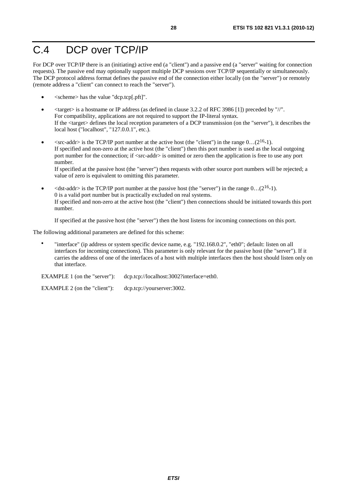# C.4 DCP over TCP/IP

For DCP over TCP/IP there is an (initiating) active end (a "client") and a passive end (a "server" waiting for connection requests). The passive end may optionally support multiple DCP sessions over TCP/IP sequentially or simultaneously. The DCP protocol address format defines the passive end of the connection either locally (on the "server") or remotely (remote address a "client" can connect to reach the "server").

- <scheme> has the value "dcp.tcp[.pft]".
- $\langle$  target  $>$  is a hostname or IP address (as defined in clause 3.2.2 of RFC 3986 [1]) preceded by "/". For compatibility, applications are not required to support the IP-literal syntax. If the <target> defines the local reception parameters of a DCP transmission (on the "server"), it describes the local host ("localhost", "127.0.0.1", etc.).
- $\langle$ src-addr> is the TCP/IP port number at the active host (the "client") in the range 0...(2<sup>16</sup>-1). If specified and non-zero at the active host (the "client") then this port number is used as the local outgoing port number for the connection; if <src-addr> is omitted or zero then the application is free to use any port number.

If specified at the passive host (the "server") then requests with other source port numbers will be rejected; a value of zero is equivalent to omitting this parameter.

 $\leq$ dst-addr> is the TCP/IP port number at the passive host (the "server") in the range 0...(2<sup>16</sup>-1). 0 is a valid port number but is practically excluded on real systems. If specified and non-zero at the active host (the "client") then connections should be initiated towards this port number.

If specified at the passive host (the "server") then the host listens for incoming connections on this port.

The following additional parameters are defined for this scheme:

• "interface" (ip address or system specific device name, e.g. "192.168.0.2", "eth0"; default: listen on all interfaces for incoming connections). This parameter is only relevant for the passive host (the "server"). If it carries the address of one of the interfaces of a host with multiple interfaces then the host should listen only on that interface.

EXAMPLE 1 (on the "server"): dcp.tcp://localhost:3002?interface=eth0.

EXAMPLE 2 (on the "client"): dcp.tcp://yourserver:3002.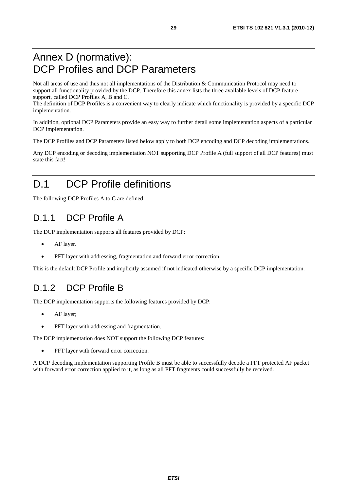## Annex D (normative): DCP Profiles and DCP Parameters

Not all areas of use and thus not all implementations of the Distribution & Communication Protocol may need to support all functionality provided by the DCP. Therefore this annex lists the three available levels of DCP feature support, called DCP Profiles A, B and C.

The definition of DCP Profiles is a convenient way to clearly indicate which functionality is provided by a specific DCP implementation.

In addition, optional DCP Parameters provide an easy way to further detail some implementation aspects of a particular DCP implementation.

The DCP Profiles and DCP Parameters listed below apply to both DCP encoding and DCP decoding implementations.

Any DCP encoding or decoding implementation NOT supporting DCP Profile A (full support of all DCP features) must state this fact!

# D.1 DCP Profile definitions

The following DCP Profiles A to C are defined.

## D.1.1 DCP Profile A

The DCP implementation supports all features provided by DCP:

- AF layer.
- PFT layer with addressing, fragmentation and forward error correction.

This is the default DCP Profile and implicitly assumed if not indicated otherwise by a specific DCP implementation.

## D.1.2 DCP Profile B

The DCP implementation supports the following features provided by DCP:

- AF layer;
- PFT layer with addressing and fragmentation.

The DCP implementation does NOT support the following DCP features:

PFT layer with forward error correction.

A DCP decoding implementation supporting Profile B must be able to successfully decode a PFT protected AF packet with forward error correction applied to it, as long as all PFT fragments could successfully be received.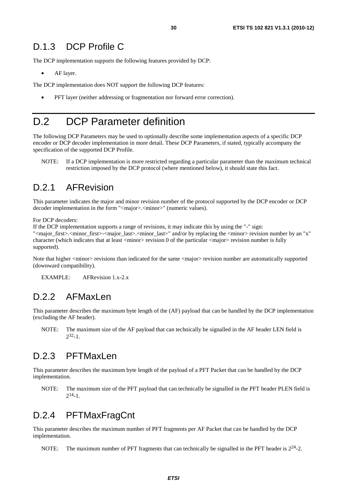### D.1.3 DCP Profile C

The DCP implementation supports the following features provided by DCP:

AF layer.

The DCP implementation does NOT support the following DCP features:

• PFT layer (neither addressing or fragmentation nor forward error correction).

## D.2 DCP Parameter definition

The following DCP Parameters may be used to optionally describe some implementation aspects of a specific DCP encoder or DCP decoder implementation in more detail. These DCP Parameters, if stated, typically accompany the specification of the supported DCP Profile.

NOTE: If a DCP implementation is more restricted regarding a particular parameter than the maximum technical restriction imposed by the DCP protocol (where mentioned below), it should state this fact.

#### D.2.1 AFRevision

This parameter indicates the major and minor revision number of the protocol supported by the DCP encoder or DCP decoder implementation in the form "<major>.<minor>" (numeric values).

For DCP decoders:

If the DCP implementation supports a range of revisions, it may indicate this by using the "-" sign: "<major\_first>.<minor\_first>-<major\_last>.<minor\_last>" and/or by replacing the <minor> revision number by an "x" character (which indicates that at least  $\langle$ minor $\rangle$  revision 0 of the particular  $\langle$ major $\rangle$  revision number is fully supported).

Note that higher <minor> revisions than indicated for the same <major> revision number are automatically supported (downward compatibility).

EXAMPLE: AFRevision 1.x-2.x

#### D.2.2 AFMaxLen

This parameter describes the maximum byte length of the (AF) payload that can be handled by the DCP implementation (excluding the AF header).

NOTE: The maximum size of the AF payload that can technically be signalled in the AF header LEN field is  $2^{32} - 1$ 

### D.2.3 PFTMaxLen

This parameter describes the maximum byte length of the payload of a PFT Packet that can be handled by the DCP implementation.

NOTE: The maximum size of the PFT payload that can technically be signalled in the PFT header PLEN field is  $2^{14} - 1$ .

## D.2.4 PFTMaxFragCnt

This parameter describes the maximum number of PFT fragments per AF Packet that can be handled by the DCP implementation.

NOTE: The maximum number of PFT fragments that can technically be signalled in the PFT header is  $2^{24}$ -2.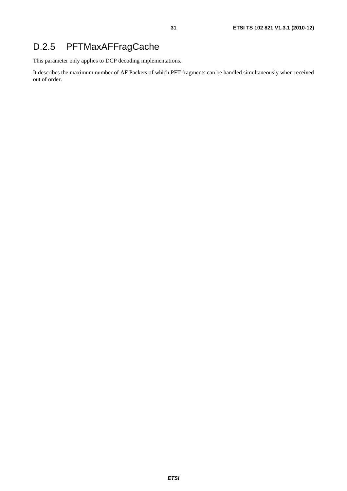## D.2.5 PFTMaxAFFragCache

This parameter only applies to DCP decoding implementations.

It describes the maximum number of AF Packets of which PFT fragments can be handled simultaneously when received out of order.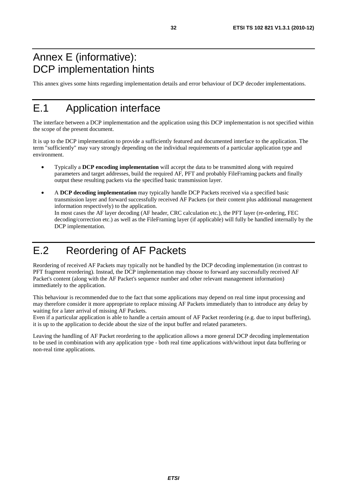## Annex E (informative): DCP implementation hints

This annex gives some hints regarding implementation details and error behaviour of DCP decoder implementations.

# E.1 Application interface

The interface between a DCP implementation and the application using this DCP implementation is not specified within the scope of the present document.

It is up to the DCP implementation to provide a sufficiently featured and documented interface to the application. The term "sufficiently" may vary strongly depending on the individual requirements of a particular application type and environment.

- Typically a **DCP encoding implementation** will accept the data to be transmitted along with required parameters and target addresses, build the required AF, PFT and probably FileFraming packets and finally output these resulting packets via the specified basic transmission layer.
- A **DCP decoding implementation** may typically handle DCP Packets received via a specified basic transmission layer and forward successfully received AF Packets (or their content plus additional management information respectively) to the application. In most cases the AF layer decoding (AF header, CRC calculation etc.), the PFT layer (re-ordering, FEC decoding/correction etc.) as well as the FileFraming layer (if applicable) will fully be handled internally by the DCP implementation.

## E.2 Reordering of AF Packets

Reordering of received AF Packets may typically not be handled by the DCP decoding implementation (in contrast to PFT fragment reordering). Instead, the DCP implementation may choose to forward any successfully received AF Packet's content (along with the AF Packet's sequence number and other relevant management information) immediately to the application.

This behaviour is recommended due to the fact that some applications may depend on real time input processing and may therefore consider it more appropriate to replace missing AF Packets immediately than to introduce any delay by waiting for a later arrival of missing AF Packets.

Even if a particular application is able to handle a certain amount of AF Packet reordering (e.g. due to input buffering), it is up to the application to decide about the size of the input buffer and related parameters.

Leaving the handling of AF Packet reordering to the application allows a more general DCP decoding implementation to be used in combination with any application type - both real time applications with/without input data buffering or non-real time applications.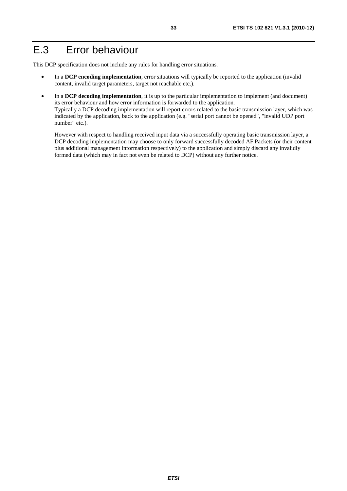## E.3 Error behaviour

This DCP specification does not include any rules for handling error situations.

- In a **DCP encoding implementation**, error situations will typically be reported to the application (invalid content, invalid target parameters, target not reachable etc.).
- In a **DCP decoding implementation**, it is up to the particular implementation to implement (and document) its error behaviour and how error information is forwarded to the application. Typically a DCP decoding implementation will report errors related to the basic transmission layer, which was indicated by the application, back to the application (e.g. "serial port cannot be opened", "invalid UDP port number" etc.).

 However with respect to handling received input data via a successfully operating basic transmission layer, a DCP decoding implementation may choose to only forward successfully decoded AF Packets (or their content plus additional management information respectively) to the application and simply discard any invalidly formed data (which may in fact not even be related to DCP) without any further notice.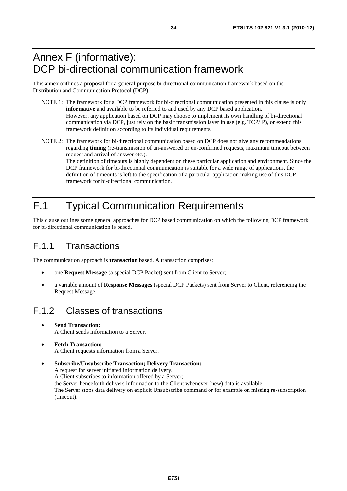## Annex F (informative): DCP bi-directional communication framework

This annex outlines a proposal for a general-purpose bi-directional communication framework based on the Distribution and Communication Protocol (DCP).

- NOTE 1: The framework for a DCP framework for bi-directional communication presented in this clause is only **informative** and available to be referred to and used by any DCP based application. However, any application based on DCP may choose to implement its own handling of bi-directional communication via DCP, just rely on the basic transmission layer in use (e.g. TCP/IP), or extend this framework definition according to its individual requirements.
- NOTE 2: The framework for bi-directional communication based on DCP does not give any recommendations regarding **timing** (re-transmission of un-answered or un-confirmed requests, maximum timeout between request and arrival of answer etc.).

The definition of timeouts is highly dependent on these particular application and environment. Since the DCP framework for bi-directional communication is suitable for a wide range of applications, the definition of timeouts is left to the specification of a particular application making use of this DCP framework for bi-directional communication.

# F.1 Typical Communication Requirements

This clause outlines some general approaches for DCP based communication on which the following DCP framework for bi-directional communication is based.

## F.1.1 Transactions

The communication approach is **transaction** based. A transaction comprises:

- one **Request Message** (a special DCP Packet) sent from Client to Server;
- a variable amount of **Response Messages** (special DCP Packets) sent from Server to Client, referencing the Request Message.

## F.1.2 Classes of transactions

- **Send Transaction:** A Client sends information to a Server.
- **Fetch Transaction:** A Client requests information from a Server.

• **Subscribe/Unsubscribe Transaction; Delivery Transaction:** A request for server initiated information delivery. A Client subscribes to information offered by a Server; the Server henceforth delivers information to the Client whenever (new) data is available. The Server stops data delivery on explicit Unsubscribe command or for example on missing re-subscription (timeout).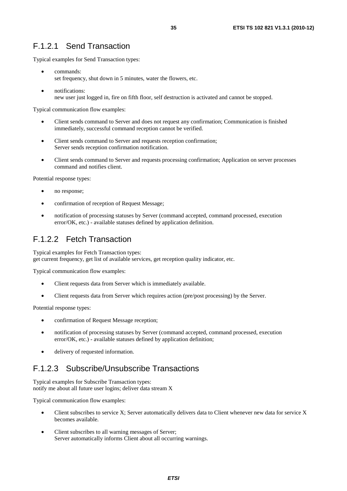### F.1.2.1 Send Transaction

Typical examples for Send Transaction types:

- commands: set frequency, shut down in 5 minutes, water the flowers, etc.
- notifications: new user just logged in, fire on fifth floor, self destruction is activated and cannot be stopped.

Typical communication flow examples:

- Client sends command to Server and does not request any confirmation; Communication is finished immediately, successful command reception cannot be verified.
- Client sends command to Server and requests reception confirmation; Server sends reception confirmation notification.
- Client sends command to Server and requests processing confirmation; Application on server processes command and notifies client.

Potential response types:

- no response;
- confirmation of reception of Request Message;
- notification of processing statuses by Server (command accepted, command processed, execution error/OK, etc.) - available statuses defined by application definition.

### F.1.2.2 Fetch Transaction

Typical examples for Fetch Transaction types: get current frequency, get list of available services, get reception quality indicator, etc.

Typical communication flow examples:

- Client requests data from Server which is immediately available.
- Client requests data from Server which requires action (pre/post processing) by the Server.

Potential response types:

- confirmation of Request Message reception;
- notification of processing statuses by Server (command accepted, command processed, execution error/OK, etc.) - available statuses defined by application definition;
- delivery of requested information.

### F.1.2.3 Subscribe/Unsubscribe Transactions

Typical examples for Subscribe Transaction types: notify me about all future user logins; deliver data stream X

Typical communication flow examples:

- Client subscribes to service X; Server automatically delivers data to Client whenever new data for service X becomes available.
- Client subscribes to all warning messages of Server; Server automatically informs Client about all occurring warnings.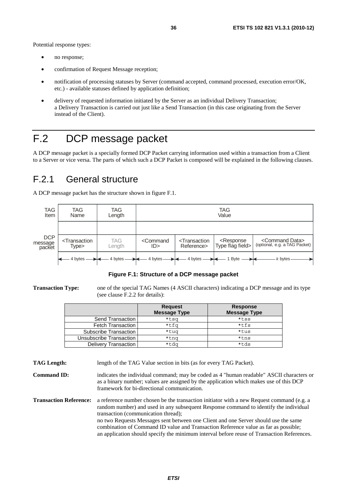Potential response types:

- no response;
- confirmation of Request Message reception;
- notification of processing statuses by Server (command accepted, command processed, execution error/OK, etc.) - available statuses defined by application definition;
- delivery of requested information initiated by the Server as an individual Delivery Transaction; a Delivery Transaction is carried out just like a Send Transaction (in this case originating from the Server instead of the Client).

# F.2 DCP message packet

A DCP message packet is a specially formed DCP Packet carrying information used within a transaction from a Client to a Server or vice versa. The parts of which such a DCP Packet is composed will be explained in the following clauses.

## F.2.1 General structure

A DCP message packet has the structure shown in figure F.1.



#### **Figure F.1: Structure of a DCP message packet**

**Transaction Type:** one of the special TAG Names (4 ASCII characters) indicating a DCP message and its type (see clause F.2.2 for details):

|                          | <b>Request</b>      | <b>Response</b>     |
|--------------------------|---------------------|---------------------|
|                          | <b>Message Type</b> | <b>Message Type</b> |
| Send Transaction         | *tsg                | *tss                |
| <b>Fetch Transaction</b> | *tfq                | $*$ tfs             |
| Subscribe Transaction    | *tug                | *tus                |
| Unsubscribe Transaction  | *tng                | *tns                |
| Delivery Transaction     | *tdg                | *tds                |

**TAG Length:** length of the TAG Value section in bits (as for every TAG Packet).

**Command ID:** indicates the individual command; may be coded as 4 "human readable" ASCII characters or as a binary number; values are assigned by the application which makes use of this DCP framework for bi-directional communication.

**Transaction Reference:** a reference number chosen be the transaction initiator with a new Request command (e.g. a random number) and used in any subsequent Response command to identify the individual transaction (communication thread); no two Requests Messages sent between one Client and one Server should use the same combination of Command ID value and Transaction Reference value as far as possible; an application should specify the minimum interval before reuse of Transaction References.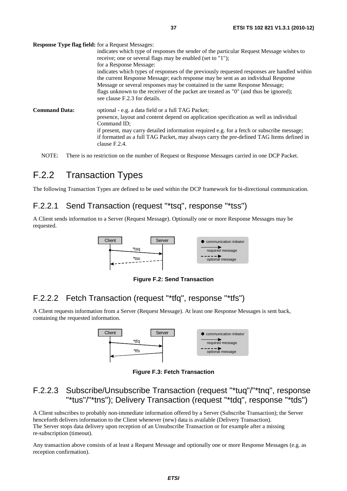**Response Type flag field:** for a Request Messages:

|                      | indicates which type of responses the sender of the particular Request Message wishes to<br>receive; one or several flags may be enabled (set to "1");                                                                                                                                                                                                                                                               |
|----------------------|----------------------------------------------------------------------------------------------------------------------------------------------------------------------------------------------------------------------------------------------------------------------------------------------------------------------------------------------------------------------------------------------------------------------|
|                      | for a Response Message:<br>indicates which types of responses of the previously requested responses are handled within<br>the current Response Message; each response may be sent as an individual Response<br>Message or several responses may be contained in the same Response Message;<br>flags unknown to the receiver of the packet are treated as "0" (and thus be ignored);<br>see clause F.2.3 for details. |
| <b>Command Data:</b> | optional - e.g. a data field or a full TAG Packet;<br>presence, layout and content depend on application specification as well as individual<br>Command ID:<br>if present, may carry detailed information required e.g. for a fetch or subscribe message;<br>if formatted as a full TAG Packet, may always carry the pre-defined TAG Items defined in<br>clause F.2.4.                                               |

NOTE: There is no restriction on the number of Request or Response Messages carried in one DCP Packet.

### F.2.2 Transaction Types

The following Transaction Types are defined to be used within the DCP framework for bi-directional communication.

#### F.2.2.1 Send Transaction (request "\*tsq", response "\*tss")

A Client sends information to a Server (Request Message). Optionally one or more Response Messages may be requested.



**Figure F.2: Send Transaction** 

### F.2.2.2 Fetch Transaction (request "\*tfq", response "\*tfs")

A Client requests information from a Server (Request Message). At least one Response Messages is sent back, containing the requested information.



**Figure F.3: Fetch Transaction** 

#### F.2.2.3 Subscribe/Unsubscribe Transaction (request "\*tuq"/"\*tnq", response "\*tus"/"\*tns"); Delivery Transaction (request "\*tdq", response "\*tds")

A Client subscribes to probably non-immediate information offered by a Server (Subscribe Transaction); the Server henceforth delivers information to the Client whenever (new) data is available (Delivery Transaction). The Server stops data delivery upon reception of an Unsubscribe Transaction or for example after a missing re-subscription (timeout).

Any transaction above consists of at least a Request Message and optionally one or more Response Messages (e.g. as reception confirmation).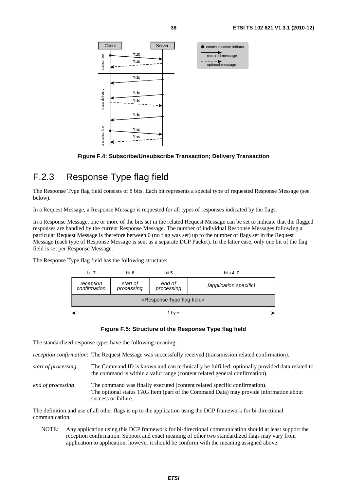

**Figure F.4: Subscribe/Unsubscribe Transaction; Delivery Transaction** 

## F.2.3 Response Type flag field

The Response Type flag field consists of 8 bits. Each bit represents a special type of requested Response Message (see below).

In a Request Message, a Response Message is requested for all types of responses indicated by the flags.

In a Response Message, one or more of the bits set in the related Request Message can be set to indicate that the flagged responses are handled by the current Response Message. The number of individual Response Messages following a particular Request Message is therefore between 0 (no flag was set) up to the number of flags set in the Request Message (each type of Response Message is sent as a separate DCP Packet). In the latter case, only one bit of the flag field is set per Response Message.

The Response Type flag field has the following structure:



#### **Figure F.5: Structure of the Response Type flag field**

The standardized response types have the following meaning:

*reception confirmation*: The Request Message was successfully received (transmission related confirmation).

- *start of processing*: The Command ID is known and can technically be fulfilled; optionally provided data related to the command is within a valid range (content related general confirmation).
- *end of processing*: The command was finally executed (content related specific confirmation). The optional status TAG Item (part of the Command Data) may provide information about success or failure.

The definition and use of all other flags is up to the application using the DCP framework for bi-directional communication.

NOTE: Any application using this DCP framework for bi-directional communication should at least support the reception confirmation. Support and exact meaning of other two standardized flags may vary from application to application, however it should be conform with the meaning assigned above.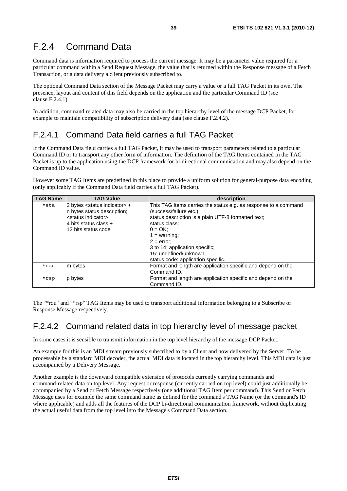## F.2.4 Command Data

Command data is information required to process the current message. It may be a parameter value required for a particular command within a Send Request Message, the value that is returned within the Response message of a Fetch Transaction, or a data delivery a client previously subscribed to.

The optional Command Data section of the Message Packet may carry a value or a full TAG Packet in its own. The presence, layout and content of this field depends on the application and the particular Command ID (see clause F.2.4.1).

In addition, command related data may also be carried in the top hierarchy level of the message DCP Packet, for example to maintain compatibility of subscription delivery data (see clause F.2.4.2).

### F.2.4.1 Command Data field carries a full TAG Packet

If the Command Data field carries a full TAG Packet, it may be used to transport parameters related to a particular Command ID or to transport any other form of information. The definition of the TAG Items contained in the TAG Packet is up to the application using the DCP framework for bi-directional communication and may also depend on the Command ID value.

However some TAG Items are predefined in this place to provide a uniform solution for general-purpose data encoding (only applicably if the Command Data field carries a full TAG Packet).

| <b>TAG Name</b> | <b>TAG Value</b>                                                                                                                                               | description                                                                                                                                                                                                                                                                                                       |
|-----------------|----------------------------------------------------------------------------------------------------------------------------------------------------------------|-------------------------------------------------------------------------------------------------------------------------------------------------------------------------------------------------------------------------------------------------------------------------------------------------------------------|
| *sta            | 2 bytes <status indicator=""> +<br/>n bytes status description;<br/><status indicator="">:<br/>4 bits status class +<br/>12 bits status code</status></status> | This TAG Items carries the status e.g. as response to a command<br>(success/failure etc.);<br>status description is a plain UTF-8 formatted text;<br>status class:<br>$0 = OK$ :<br>1 = warning;<br>l2 = error:<br>3 to 14: application specific;<br>15: undefined/unknown;<br>status code: application specific. |
| *rqu            | m bytes                                                                                                                                                        | Format and length are application specific and depend on the<br>Command ID.                                                                                                                                                                                                                                       |
| *rsp            | p bytes                                                                                                                                                        | Format and length are application specific and depend on the<br>Command ID.                                                                                                                                                                                                                                       |

The "\*rqu" and "\*rsp" TAG Items may be used to transport additional information belonging to a Subscribe or Response Message respectively.

#### F.2.4.2 Command related data in top hierarchy level of message packet

In some cases it is sensible to transmit information in the top level hierarchy of the message DCP Packet.

An example for this is an MDI stream previously subscribed to by a Client and now delivered by the Server: To be processable by a standard MDI decoder, the actual MDI data is located in the top hierarchy level. This MDI data is just accompanied by a Delivery Message.

Another example is the downward compatible extension of protocols currently carrying commands and command-related data on top level. Any request or response (currently carried on top level) could just additionally be accompanied by a Send or Fetch Message respectively (one additional TAG Item per command). This Send or Fetch Message uses for example the same command name as defined for the command's TAG Name (or the command's ID where applicable) and adds all the features of the DCP bi-directional communication framework, without duplicating the actual useful data from the top level into the Message's Command Data section.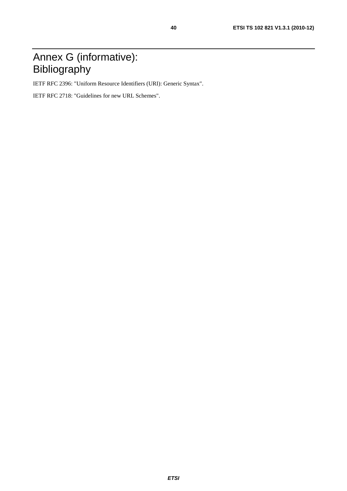# Annex G (informative): Bibliography

IETF RFC 2396: "Uniform Resource Identifiers (URI): Generic Syntax".

IETF RFC 2718: "Guidelines for new URL Schemes".